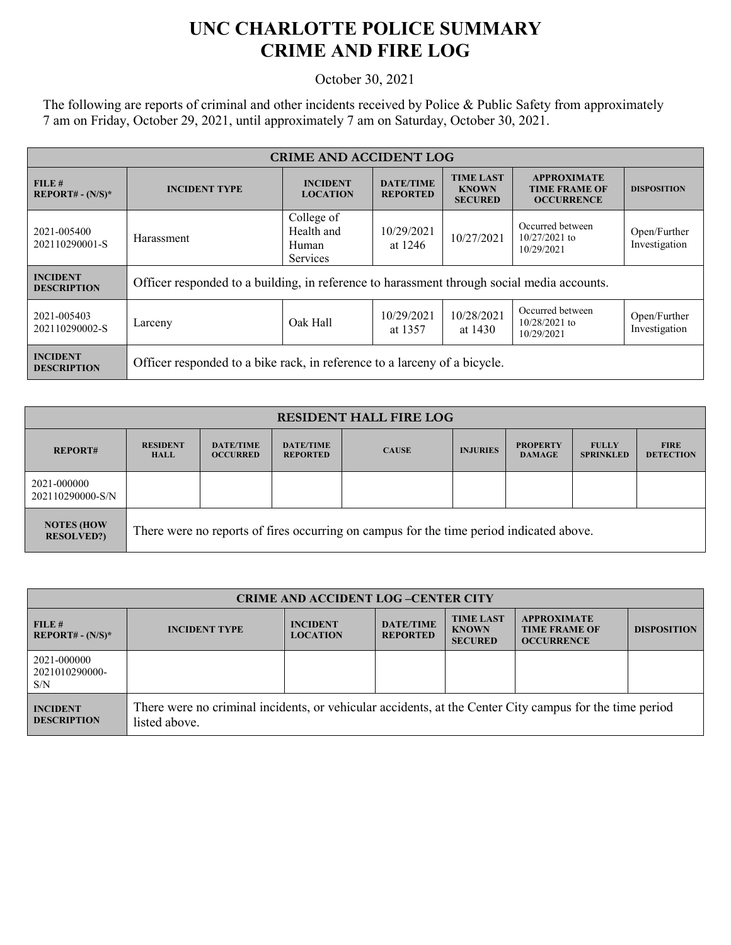## **UNC CHARLOTTE POLICE SUMMARY CRIME AND FIRE LOG**

October 30, 2021

The following are reports of criminal and other incidents received by Police & Public Safety from approximately 7 am on Friday, October 29, 2021, until approximately 7 am on Saturday, October 30, 2021.

| <b>CRIME AND ACCIDENT LOG</b>         |                                                                                            |                                                      |                                     |                                                                 |                                                                 |                               |  |
|---------------------------------------|--------------------------------------------------------------------------------------------|------------------------------------------------------|-------------------------------------|-----------------------------------------------------------------|-----------------------------------------------------------------|-------------------------------|--|
| FILE#<br><b>REPORT# - (N/S)*</b>      | <b>INCIDENT TYPE</b>                                                                       | <b>INCIDENT</b><br><b>LOCATION</b>                   | <b>DATE/TIME</b><br><b>REPORTED</b> | <b>TIME LAST</b><br><b>KNOWN</b><br><b>SECURED</b>              | <b>APPROXIMATE</b><br><b>TIME FRAME OF</b><br><b>OCCURRENCE</b> | <b>DISPOSITION</b>            |  |
| 2021-005400<br>202110290001-S         | Harassment                                                                                 | College of<br>Health and<br>Human<br><b>Services</b> | 10/29/2021<br>at 1246               | Occurred between<br>10/27/2021<br>$10/27/2021$ to<br>10/29/2021 |                                                                 | Open/Further<br>Investigation |  |
| <b>INCIDENT</b><br><b>DESCRIPTION</b> | Officer responded to a building, in reference to harassment through social media accounts. |                                                      |                                     |                                                                 |                                                                 |                               |  |
| 2021-005403<br>202110290002-S         | Larceny                                                                                    | 10/29/2021<br>Oak Hall<br>at 1357                    |                                     | 10/28/2021<br>at 1430                                           | Occurred between<br>$10/28/2021$ to<br>10/29/2021               | Open/Further<br>Investigation |  |
| <b>INCIDENT</b><br><b>DESCRIPTION</b> | Officer responded to a bike rack, in reference to a larceny of a bicycle.                  |                                                      |                                     |                                                                 |                                                                 |                               |  |

| <b>RESIDENT HALL FIRE LOG</b>          |                                                                                         |                                     |                                     |              |                 |                                  |                                  |                                 |
|----------------------------------------|-----------------------------------------------------------------------------------------|-------------------------------------|-------------------------------------|--------------|-----------------|----------------------------------|----------------------------------|---------------------------------|
| <b>REPORT#</b>                         | <b>RESIDENT</b><br><b>HALL</b>                                                          | <b>DATE/TIME</b><br><b>OCCURRED</b> | <b>DATE/TIME</b><br><b>REPORTED</b> | <b>CAUSE</b> | <b>INJURIES</b> | <b>PROPERTY</b><br><b>DAMAGE</b> | <b>FULLY</b><br><b>SPRINKLED</b> | <b>FIRE</b><br><b>DETECTION</b> |
| 2021-000000<br>202110290000-S/N        |                                                                                         |                                     |                                     |              |                 |                                  |                                  |                                 |
| <b>NOTES (HOW</b><br><b>RESOLVED?)</b> | There were no reports of fires occurring on campus for the time period indicated above. |                                     |                                     |              |                 |                                  |                                  |                                 |

| <b>CRIME AND ACCIDENT LOG-CENTER CITY</b> |                                                                                                                          |                                    |                                     |                                                    |                                                                 |                    |
|-------------------------------------------|--------------------------------------------------------------------------------------------------------------------------|------------------------------------|-------------------------------------|----------------------------------------------------|-----------------------------------------------------------------|--------------------|
| FILE#<br>$REPORT# - (N/S)*$               | <b>INCIDENT TYPE</b>                                                                                                     | <b>INCIDENT</b><br><b>LOCATION</b> | <b>DATE/TIME</b><br><b>REPORTED</b> | <b>TIME LAST</b><br><b>KNOWN</b><br><b>SECURED</b> | <b>APPROXIMATE</b><br><b>TIME FRAME OF</b><br><b>OCCURRENCE</b> | <b>DISPOSITION</b> |
| 2021-000000<br>2021010290000-<br>S/N      |                                                                                                                          |                                    |                                     |                                                    |                                                                 |                    |
| <b>INCIDENT</b><br><b>DESCRIPTION</b>     | There were no criminal incidents, or vehicular accidents, at the Center City campus for the time period<br>listed above. |                                    |                                     |                                                    |                                                                 |                    |